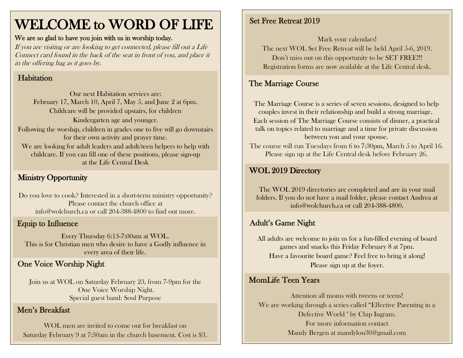## WELCOME to WORD OF LIFE

#### We are so glad to have you join with us in worship today.

If you are visiting or are looking to get connected, please fill out a Life Connect card found in the back of the seat in front of you, and place it in the offering bag as it goes by.

#### Habitation

Our next Habitation services are: February 17, March 10, April 7, May 5, and June 2 at 6pm. Childcare will be provided upstairs, for children Kindergarten age and younger. Following the worship, children in grades one to five will go downstairs for their own activity and prayer time. We are looking for adult leaders and adult/teen helpers to help with childcare. If you can fill one of these positions, please sign-up at the Life Central Desk

#### Ministry Opportunity

Do you love to cook? Interested in a short-term ministry opportunity? Please contact the church office at [info@wolchurch.ca](mailto:info@wolchurch.ca) or call 204-388-4800 to find out more.

#### Equip to Influence

Every Thursday 6:15-7:00am at WOL. This is for Christian men who desire to have a Godly influence in every area of their life.

#### One Voice Worship Night

Join us at WOL on Saturday February 23, from 7-9pm for the One Voice Worship Night. Special guest band: Soul Purpose

#### Men's Breakfast

WOL men are invited to come out for breakfast on Saturday February 9 at 7:30am in the church basement. Cost is \$3.

#### Set Free Retreat 2019

Mark your calendars!

The next WOL Set Free Retreat will be held April 5-6, 2019. Don't miss out on this opportunity to be SET FREE!!! Registration forms are now available at the Life Central desk.

#### The Marriage Course

The Marriage Course is a series of seven sessions, designed to help couples invest in their relationship and build a strong marriage.

Each session of The Marriage Course consists of dinner, a practical talk on topics related to marriage and a time for private discussion between you and your spouse.

The course will run Tuesdays from 6 to 7:30pm, March 5 to April 16. Please sign up at the Life Central desk before February 26.

#### WOL 2019 Directory

The WOL 2019 directories are completed and are in your mail folders. If you do not have a mail folder, please contact Andrea at [info@wolchurch.ca](mailto:info@wolchurch.ca) or call 204-388-4800.

#### Adult's Game Night

All adults are welcome to join us for a fun-filled evening of board games and snacks this Friday February 8 at 7pm. Have a favourite board game? Feel free to bring it along! Please sign up at the foyer.

#### MomLife Teen Years

Attention all moms with tweens or teens! We are working through a series called "Effective Parenting in a Defective World " by Chip Ingram. For more information contact Mandy Bergen at mandylou30@gmail.com